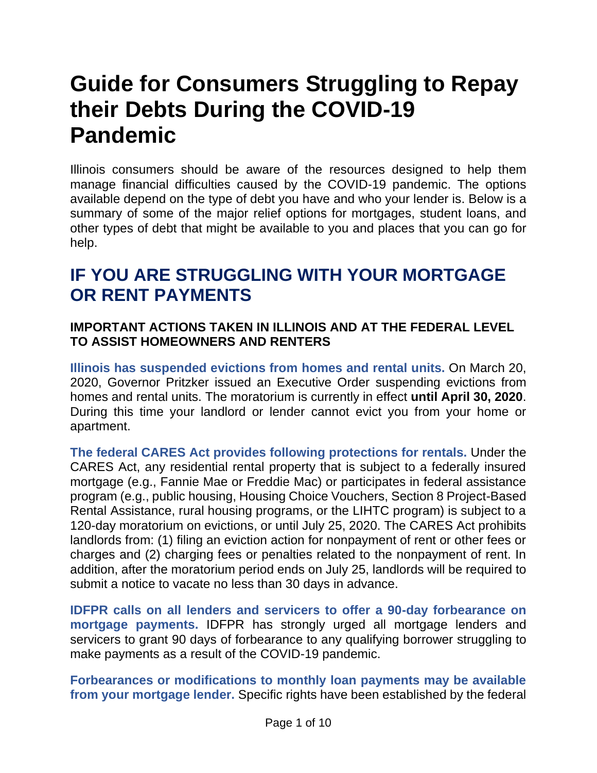# **Guide for Consumers Struggling to Repay their Debts During the COVID-19 Pandemic**

Illinois consumers should be aware of the resources designed to help them manage financial difficulties caused by the COVID-19 pandemic. The options available depend on the type of debt you have and who your lender is. Below is a summary of some of the major relief options for mortgages, student loans, and other types of debt that might be available to you and places that you can go for help.

### **IF YOU ARE STRUGGLING WITH YOUR MORTGAGE OR RENT PAYMENTS**

#### **IMPORTANT ACTIONS TAKEN IN ILLINOIS AND AT THE FEDERAL LEVEL TO ASSIST HOMEOWNERS AND RENTERS**

**Illinois has suspended evictions from homes and rental units.** On March 20, 2020, Governor Pritzker issued an Executive Order suspending evictions from homes and rental units. The moratorium is currently in effect **until April 30, 2020**. During this time your landlord or lender cannot evict you from your home or apartment.

**The federal CARES Act provides following protections for rentals.** Under the CARES Act, any residential rental property that is subject to a federally insured mortgage (e.g., Fannie Mae or Freddie Mac) or participates in federal assistance program (e.g., public housing, Housing Choice Vouchers, Section 8 Project-Based Rental Assistance, rural housing programs, or the LIHTC program) is subject to a 120-day moratorium on evictions, or until July 25, 2020. The CARES Act prohibits landlords from: (1) filing an eviction action for nonpayment of rent or other fees or charges and (2) charging fees or penalties related to the nonpayment of rent. In addition, after the moratorium period ends on July 25, landlords will be required to submit a notice to vacate no less than 30 days in advance.

**IDFPR calls on all lenders and servicers to offer a 90-day forbearance on mortgage payments.** IDFPR has strongly urged all mortgage lenders and servicers to grant 90 days of forbearance to any qualifying borrower struggling to make payments as a result of the COVID-19 pandemic.

**Forbearances or modifications to monthly loan payments may be available from your mortgage lender.** Specific rights have been established by the federal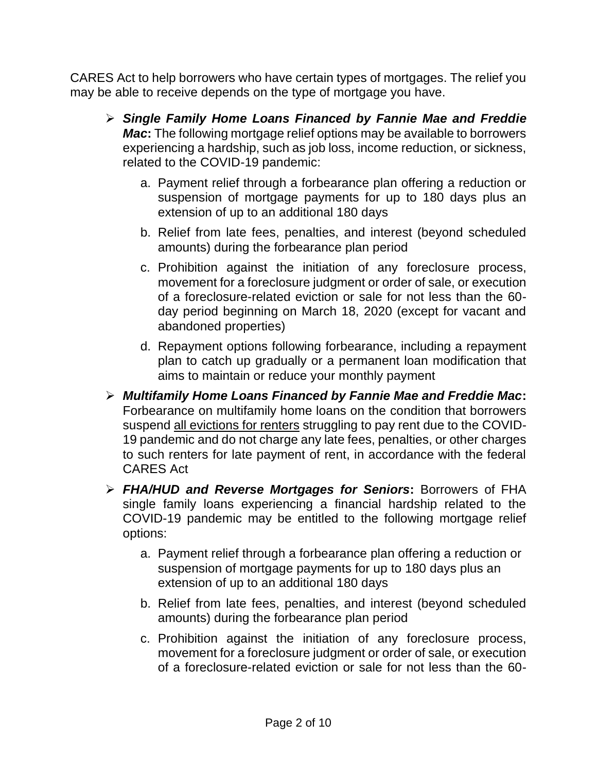CARES Act to help borrowers who have certain types of mortgages. The relief you may be able to receive depends on the type of mortgage you have.

- ➢ *Single Family Home Loans Financed by Fannie Mae and Freddie Mac*: The following mortgage relief options may be available to borrowers experiencing a hardship, such as job loss, income reduction, or sickness, related to the COVID-19 pandemic:
	- a. Payment relief through a forbearance plan offering a reduction or suspension of mortgage payments for up to 180 days plus an extension of up to an additional 180 days
	- b. Relief from late fees, penalties, and interest (beyond scheduled amounts) during the forbearance plan period
	- c. Prohibition against the initiation of any foreclosure process, movement for a foreclosure judgment or order of sale, or execution of a foreclosure-related eviction or sale for not less than the 60 day period beginning on March 18, 2020 (except for vacant and abandoned properties)
	- d. Repayment options following forbearance, including a repayment plan to catch up gradually or a permanent loan modification that aims to maintain or reduce your monthly payment
- ➢ *Multifamily Home Loans Financed by Fannie Mae and Freddie Mac***:**  Forbearance on multifamily home loans on the condition that borrowers suspend all evictions for renters struggling to pay rent due to the COVID-19 pandemic and do not charge any late fees, penalties, or other charges to such renters for late payment of rent, in accordance with the federal CARES Act
- ➢ *FHA/HUD and Reverse Mortgages for Seniors***:** Borrowers of FHA single family loans experiencing a financial hardship related to the COVID-19 pandemic may be entitled to the following mortgage relief options:
	- a. Payment relief through a forbearance plan offering a reduction or suspension of mortgage payments for up to 180 days plus an extension of up to an additional 180 days
	- b. Relief from late fees, penalties, and interest (beyond scheduled amounts) during the forbearance plan period
	- c. Prohibition against the initiation of any foreclosure process, movement for a foreclosure judgment or order of sale, or execution of a foreclosure-related eviction or sale for not less than the 60-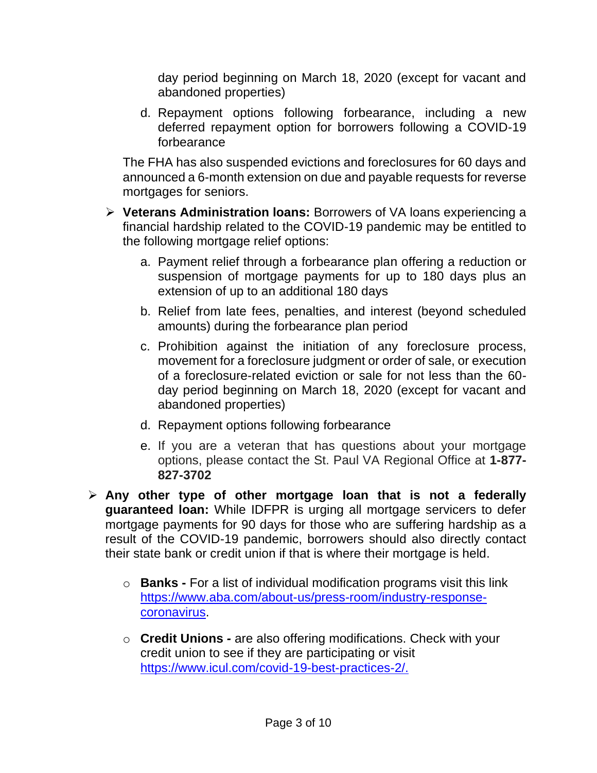day period beginning on March 18, 2020 (except for vacant and abandoned properties)

d. Repayment options following forbearance, including a new deferred repayment option for borrowers following a COVID-19 forbearance

The FHA has also suspended evictions and foreclosures for 60 days and announced a 6-month extension on due and payable requests for reverse mortgages for seniors.

- ➢ **Veterans Administration loans:** Borrowers of VA loans experiencing a financial hardship related to the COVID-19 pandemic may be entitled to the following mortgage relief options:
	- a. Payment relief through a forbearance plan offering a reduction or suspension of mortgage payments for up to 180 days plus an extension of up to an additional 180 days
	- b. Relief from late fees, penalties, and interest (beyond scheduled amounts) during the forbearance plan period
	- c. Prohibition against the initiation of any foreclosure process, movement for a foreclosure judgment or order of sale, or execution of a foreclosure-related eviction or sale for not less than the 60 day period beginning on March 18, 2020 (except for vacant and abandoned properties)
	- d. Repayment options following forbearance
	- e. If you are a veteran that has questions about your mortgage options, please contact the St. Paul VA Regional Office at **1-877- 827-3702**
- ➢ **Any other type of other mortgage loan that is not a federally guaranteed loan:** While IDFPR is urging all mortgage servicers to defer mortgage payments for 90 days for those who are suffering hardship as a result of the COVID-19 pandemic, borrowers should also directly contact their state bank or credit union if that is where their mortgage is held.
	- o **Banks -** For a list of individual modification programs visit this link [https://www.aba.com/about-us/press-room/industry-response](https://www.aba.com/about-us/press-room/industry-response-coronavirus)[coronavirus.](https://www.aba.com/about-us/press-room/industry-response-coronavirus)
	- o **Credit Unions** *-* are also offering modifications. Check with your credit union to see if they are participating or visit [https://www.icul.com/covid-19-best-practices-2/.](https://www.icul.com/covid-19-best-practices-2/)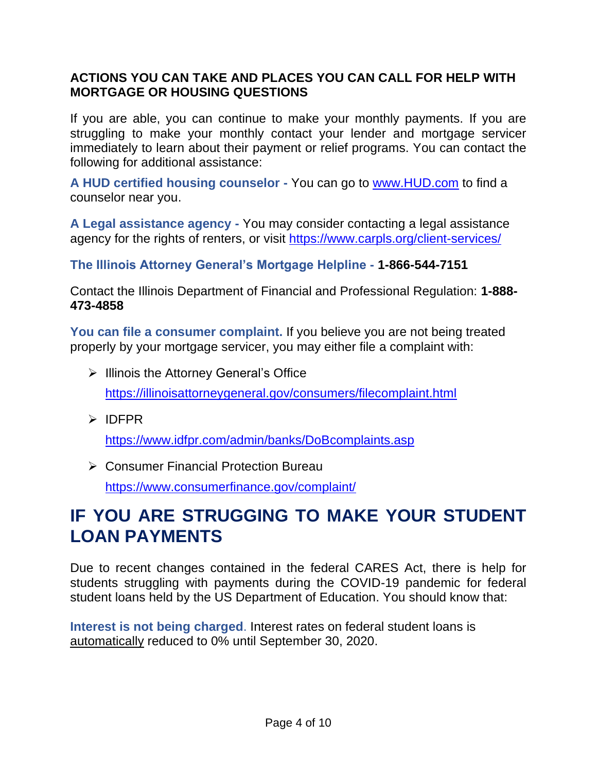#### **ACTIONS YOU CAN TAKE AND PLACES YOU CAN CALL FOR HELP WITH MORTGAGE OR HOUSING QUESTIONS**

If you are able, you can continue to make your monthly payments. If you are struggling to make your monthly contact your lender and mortgage servicer immediately to learn about their payment or relief programs. You can contact the following for additional assistance:

**A HUD certified housing counselor -** You can go to [www.HUD.com](http://www.hud.com/) to find a counselor near you.

**A Legal assistance agency -** You may consider contacting a legal assistance agency for the rights of renters, or visit<https://www.carpls.org/client-services/>

**The Illinois Attorney General's Mortgage Helpline - 1-866-544-7151**

Contact the Illinois Department of Financial and Professional Regulation: **1-888- 473-4858**

**You can file a consumer complaint.** If you believe you are not being treated properly by your mortgage servicer, you may either file a complaint with:

- ➢ Illinois the Attorney General's Office <https://illinoisattorneygeneral.gov/consumers/filecomplaint.html>
- ➢ IDFPR

<https://www.idfpr.com/admin/banks/DoBcomplaints.asp>

➢ Consumer Financial Protection Bureau <https://www.consumerfinance.gov/complaint/>

# **IF YOU ARE STRUGGING TO MAKE YOUR STUDENT LOAN PAYMENTS**

Due to recent changes contained in the federal CARES Act, there is help for students struggling with payments during the COVID-19 pandemic for federal student loans held by the US Department of Education. You should know that:

**Interest is not being charged**. Interest rates on federal student loans is automatically reduced to 0% until September 30, 2020.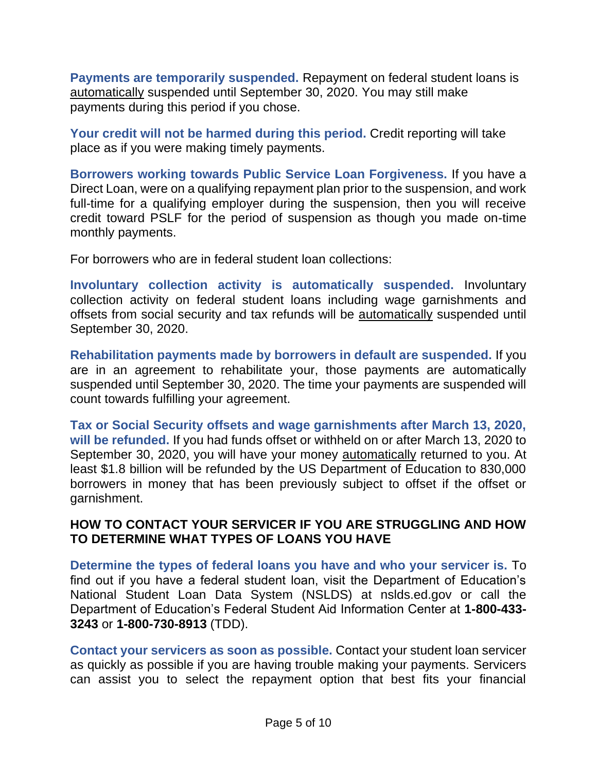**Payments are temporarily suspended.** Repayment on federal student loans is automatically suspended until September 30, 2020. You may still make payments during this period if you chose.

**Your credit will not be harmed during this period.** Credit reporting will take place as if you were making timely payments.

**Borrowers working towards Public Service Loan Forgiveness.** If you have a Direct Loan, were on a qualifying repayment plan prior to the suspension, and work full-time for a qualifying employer during the suspension, then you will receive credit toward PSLF for the period of suspension as though you made on-time monthly payments.

For borrowers who are in federal student loan collections:

**Involuntary collection activity is automatically suspended.** Involuntary collection activity on federal student loans including wage garnishments and offsets from social security and tax refunds will be automatically suspended until September 30, 2020.

**Rehabilitation payments made by borrowers in default are suspended.** If you are in an agreement to rehabilitate your, those payments are automatically suspended until September 30, 2020. The time your payments are suspended will count towards fulfilling your agreement.

**Tax or Social Security offsets and wage garnishments after March 13, 2020, will be refunded.** If you had funds offset or withheld on or after March 13, 2020 to September 30, 2020, you will have your money **automatically** returned to you. At least \$1.8 billion will be refunded by the US Department of Education to 830,000 borrowers in money that has been previously subject to offset if the offset or garnishment.

#### **HOW TO CONTACT YOUR SERVICER IF YOU ARE STRUGGLING AND HOW TO DETERMINE WHAT TYPES OF LOANS YOU HAVE**

**Determine the types of federal loans you have and who your servicer is.** To find out if you have a federal student loan, visit the Department of Education's National Student Loan Data System (NSLDS) at nslds.ed.gov or call the Department of Education's Federal Student Aid Information Center at **1-800-433- 3243** or **1-800-730-8913** (TDD).

**Contact your servicers as soon as possible.** Contact your student loan servicer as quickly as possible if you are having trouble making your payments. Servicers can assist you to select the repayment option that best fits your financial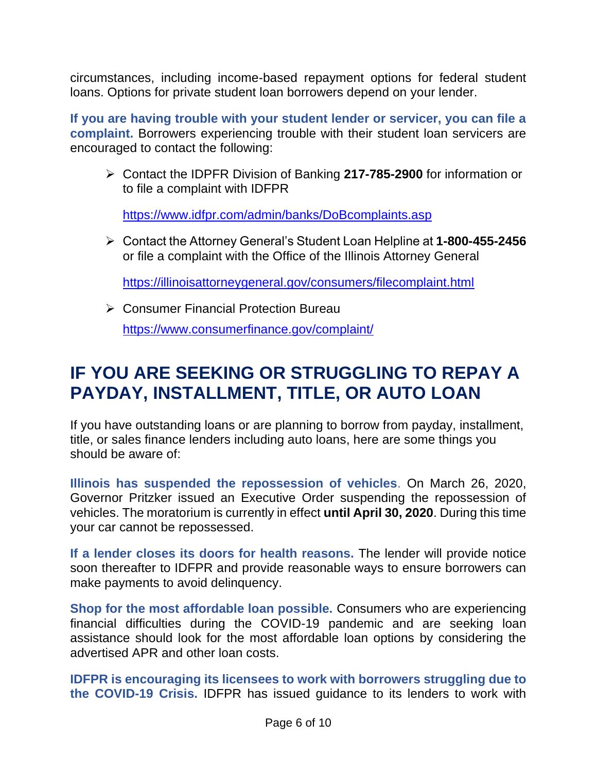circumstances, including income-based repayment options for federal student loans. Options for private student loan borrowers depend on your lender.

**If you are having trouble with your student lender or servicer, you can file a complaint.** Borrowers experiencing trouble with their student loan servicers are encouraged to contact the following:

➢ Contact the IDPFR Division of Banking **217-785-2900** for information or to file a complaint with IDFPR

<https://www.idfpr.com/admin/banks/DoBcomplaints.asp>

➢ Contact the Attorney General's Student Loan Helpline at **1-800-455-2456** or file a complaint with the Office of the Illinois Attorney General

<https://illinoisattorneygeneral.gov/consumers/filecomplaint.html>

➢ Consumer Financial Protection Bureau

<https://www.consumerfinance.gov/complaint/>

### **IF YOU ARE SEEKING OR STRUGGLING TO REPAY A PAYDAY, INSTALLMENT, TITLE, OR AUTO LOAN**

If you have outstanding loans or are planning to borrow from payday, installment, title, or sales finance lenders including auto loans, here are some things you should be aware of:

**Illinois has suspended the repossession of vehicles**. On March 26, 2020, Governor Pritzker issued an Executive Order suspending the repossession of vehicles. The moratorium is currently in effect **until April 30, 2020**. During this time your car cannot be repossessed.

**If a lender closes its doors for health reasons.** The lender will provide notice soon thereafter to IDFPR and provide reasonable ways to ensure borrowers can make payments to avoid delinquency.

**Shop for the most affordable loan possible.** Consumers who are experiencing financial difficulties during the COVID-19 pandemic and are seeking loan assistance should look for the most affordable loan options by considering the advertised APR and other loan costs.

**IDFPR is encouraging its licensees to work with borrowers struggling due to the COVID-19 Crisis.** IDFPR has issued guidance to its lenders to work with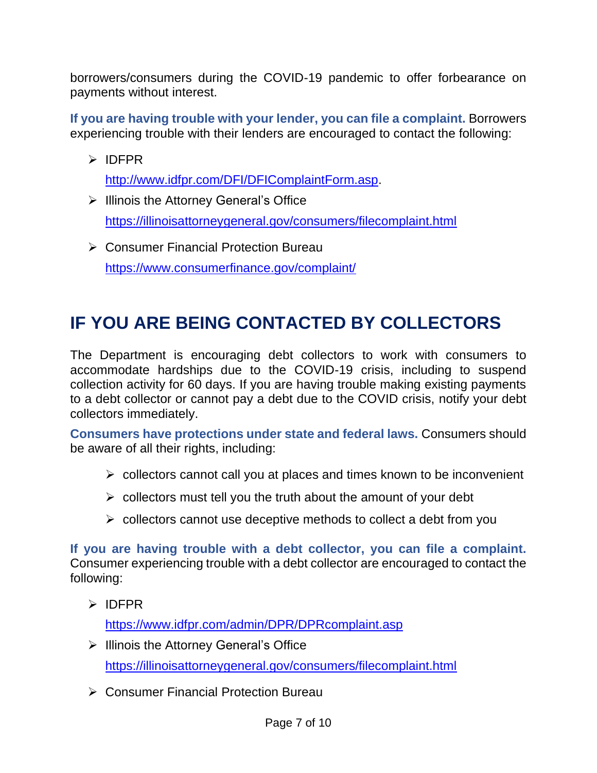borrowers/consumers during the COVID-19 pandemic to offer forbearance on payments without interest.

**If you are having trouble with your lender, you can file a complaint.** Borrowers experiencing trouble with their lenders are encouraged to contact the following:

➢ IDFPR

[http://www.idfpr.com/DFI/DFIComplaintForm.asp.](http://www.idfpr.com/DFI/DFIComplaintForm.asp)

- ➢ Illinois the Attorney General's Office <https://illinoisattorneygeneral.gov/consumers/filecomplaint.html>
- ➢ Consumer Financial Protection Bureau <https://www.consumerfinance.gov/complaint/>

# **IF YOU ARE BEING CONTACTED BY COLLECTORS**

The Department is encouraging debt collectors to work with consumers to accommodate hardships due to the COVID-19 crisis, including to suspend collection activity for 60 days. If you are having trouble making existing payments to a debt collector or cannot pay a debt due to the COVID crisis, notify your debt collectors immediately.

**Consumers have protections under state and federal laws.** Consumers should be aware of all their rights, including:

- ➢ collectors cannot call you at places and times known to be inconvenient
- $\triangleright$  collectors must tell you the truth about the amount of your debt
- $\triangleright$  collectors cannot use deceptive methods to collect a debt from you

**If you are having trouble with a debt collector, you can file a complaint.** Consumer experiencing trouble with a debt collector are encouraged to contact the following:

➢ IDFPR

<https://www.idfpr.com/admin/DPR/DPRcomplaint.asp>

- ➢ Illinois the Attorney General's Office <https://illinoisattorneygeneral.gov/consumers/filecomplaint.html>
- ➢ Consumer Financial Protection Bureau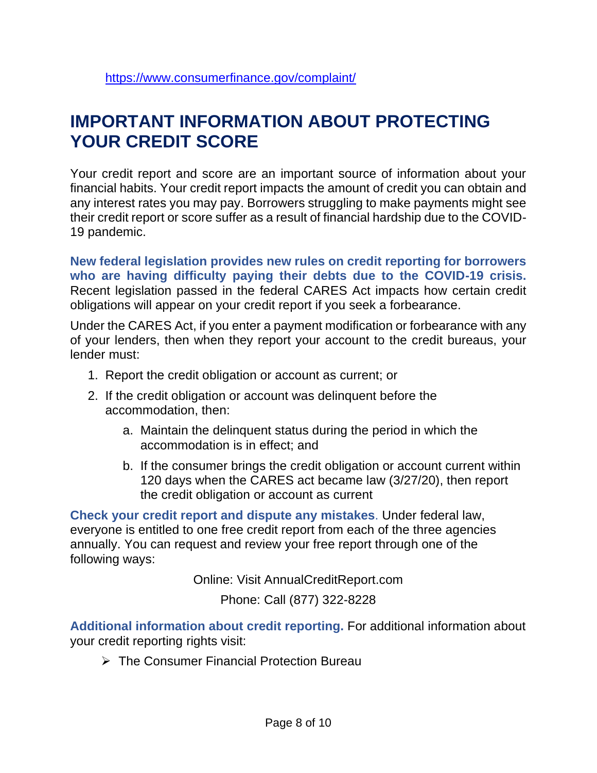### **IMPORTANT INFORMATION ABOUT PROTECTING YOUR CREDIT SCORE**

Your credit report and score are an important source of information about your financial habits. Your credit report impacts the amount of credit you can obtain and any interest rates you may pay. Borrowers struggling to make payments might see their credit report or score suffer as a result of financial hardship due to the COVID-19 pandemic.

**New federal legislation provides new rules on credit reporting for borrowers who are having difficulty paying their debts due to the COVID-19 crisis.** Recent legislation passed in the federal CARES Act impacts how certain credit obligations will appear on your credit report if you seek a forbearance.

Under the CARES Act, if you enter a payment modification or forbearance with any of your lenders, then when they report your account to the credit bureaus, your lender must:

- 1. Report the credit obligation or account as current; or
- 2. If the credit obligation or account was delinquent before the accommodation, then:
	- a. Maintain the delinquent status during the period in which the accommodation is in effect; and
	- b. If the consumer brings the credit obligation or account current within 120 days when the CARES act became law (3/27/20), then report the credit obligation or account as current

**Check your credit report and dispute any mistakes**. Under federal law, everyone is entitled to one free credit report from each of the three agencies annually. You can request and review your free report through one of the following ways:

Online: Visit AnnualCreditReport.com

Phone: Call (877) 322-8228

**Additional information about credit reporting.** For additional information about your credit reporting rights visit:

➢ The Consumer Financial Protection Bureau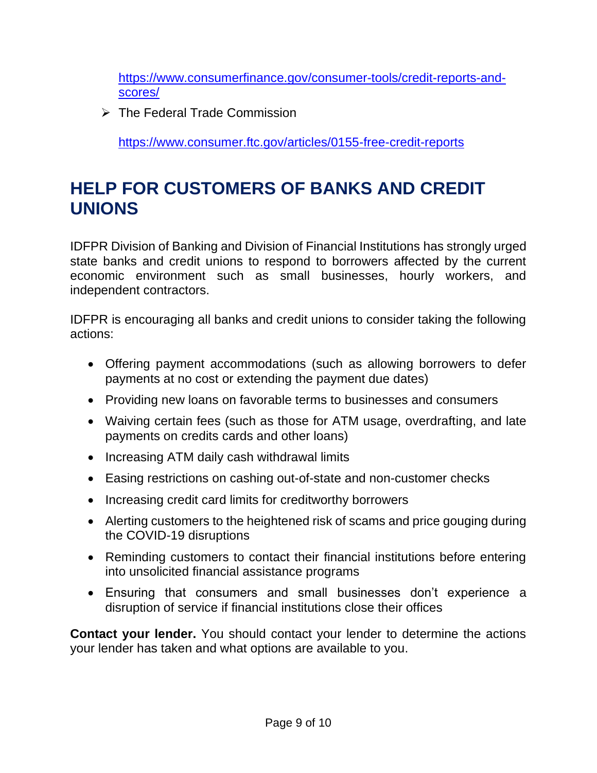[https://www.consumerfinance.gov/consumer-tools/credit-reports-and](https://www.consumerfinance.gov/consumer-tools/credit-reports-and-scores/)[scores/](https://www.consumerfinance.gov/consumer-tools/credit-reports-and-scores/)

➢ The Federal Trade Commission

<https://www.consumer.ftc.gov/articles/0155-free-credit-reports>

# **HELP FOR CUSTOMERS OF BANKS AND CREDIT UNIONS**

IDFPR Division of Banking and Division of Financial Institutions has strongly urged state banks and credit unions to respond to borrowers affected by the current economic environment such as small businesses, hourly workers, and independent contractors.

IDFPR is encouraging all banks and credit unions to consider taking the following actions:

- Offering payment accommodations (such as allowing borrowers to defer payments at no cost or extending the payment due dates)
- Providing new loans on favorable terms to businesses and consumers
- Waiving certain fees (such as those for ATM usage, overdrafting, and late payments on credits cards and other loans)
- Increasing ATM daily cash withdrawal limits
- Easing restrictions on cashing out-of-state and non-customer checks
- Increasing credit card limits for creditworthy borrowers
- Alerting customers to the heightened risk of scams and price gouging during the COVID-19 disruptions
- Reminding customers to contact their financial institutions before entering into unsolicited financial assistance programs
- Ensuring that consumers and small businesses don't experience a disruption of service if financial institutions close their offices

**Contact your lender.** You should contact your lender to determine the actions your lender has taken and what options are available to you.